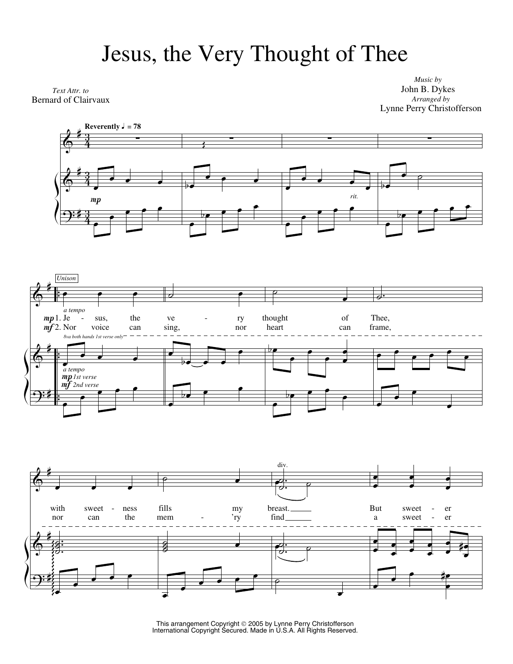## Jesus, the Very Thought of Thee

*Text Attr. to* Bernard of Clairvaux

*Music by* John B. Dykes *Arranged by* Lynne Perry Christofferson







This arrangement Copyright 2005 by Lynne Perry Christofferson International Copyright Secured. Made in U.S.A. All Rights Reserved.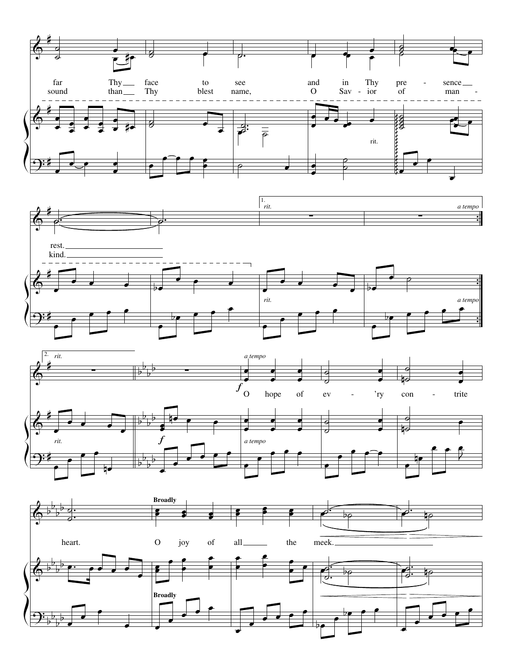







 $\overrightarrow{e}$ 

bœ <sup>œ</sup> bœ <sup>œ</sup> <sup>œ</sup>

œ

 $\overrightarrow{e}$ 

Ĭ.

 $\frac{1}{2}$  $\frac{1}{1}$  $\overline{a}$  $\overline{\bullet}$ 

Í

 $\overline{\phantom{a}}$ 

 $\overline{\phantom{a}}$ 

 $\overline{\mathbf{e}}$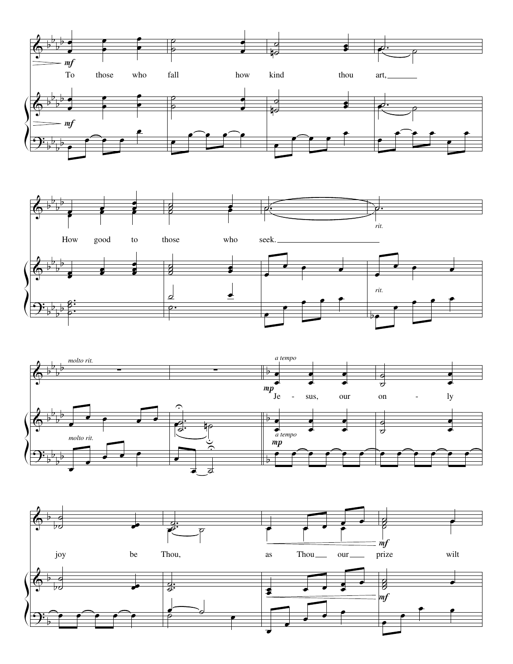